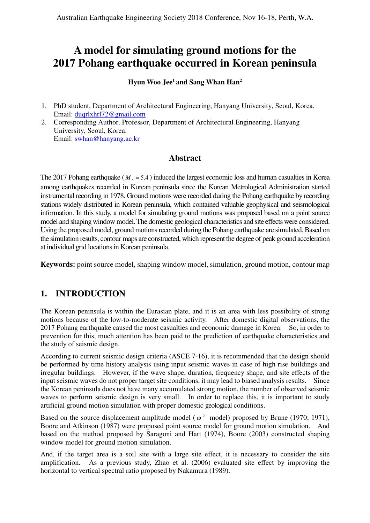# **A model for simulating ground motions for the 2017 Pohang earthquake occurred in Korean peninsula**

## **Hyun Woo Jee<sup>1</sup> and Sang Whan Han<sup>2</sup>**

- 1. PhD student, Department of Architectural Engineering, Hanyang University, Seoul, Korea. Email: duqrlxhrl72@gmail.com
- 2. Corresponding Author. Professor, Department of Architectural Engineering, Hanyang University, Seoul, Korea. Email: swhan@hanyang.ac.kr

## **Abstract**

The 2017 Pohang earthquake ( $M_L$  = 5.4) induced the largest economic loss and human casualties in Korea among earthquakes recorded in Korean peninsula since the Korean Metrological Administration started instrumental recording in 1978. Ground motions were recorded during the Pohang earthquake by recording stations widely distributed in Korean peninsula, which contained valuable geophysical and seismological information. In this study, a model for simulating ground motions was proposed based on a point source model and shaping window model. The domestic geological characteristics and site effects were considered. Using the proposed model, ground motions recorded during the Pohang earthquake are simulated. Based on the simulation results, contour maps are constructed, which represent the degree of peak ground acceleration at individual grid locations in Korean peninsula.

**Keywords:** point source model, shaping window model, simulation, ground motion, contour map

# **1. INTRODUCTION**

The Korean peninsula is within the Eurasian plate, and it is an area with less possibility of strong motions because of the low-to-moderate seismic activity. After domestic digital observations, the 2017 Pohang earthquake caused the most casualties and economic damage in Korea. So, in order to prevention for this, much attention has been paid to the prediction of earthquake characteristics and the study of seismic design.

According to current seismic design criteria (ASCE 7-16), it is recommended that the design should be performed by time history analysis using input seismic waves in case of high rise buildings and irregular buildings. However, if the wave shape, duration, frequency shape, and site effects of the input seismic waves do not proper target site conditions, it may lead to biased analysis results. Since the Korean peninsula does not have many accumulated strong motion, the number of observed seismic waves to perform seismic design is very small. In order to replace this, it is important to study artificial ground motion simulation with proper domestic geological conditions.

Based on the source displacement amplitude model ( $\omega$ <sup>-2</sup> model) proposed by Brune (1970; 1971), Boore and Atkinson (1987) were proposed point source model for ground motion simulation. And based on the method proposed by Saragoni and Hart (1974), Boore (2003) constructed shaping window model for ground motion simulation.

And, if the target area is a soil site with a large site effect, it is necessary to consider the site amplification. As a previous study, Zhao et al. (2006) evaluated site effect by improving the horizontal to vertical spectral ratio proposed by Nakamura (1989).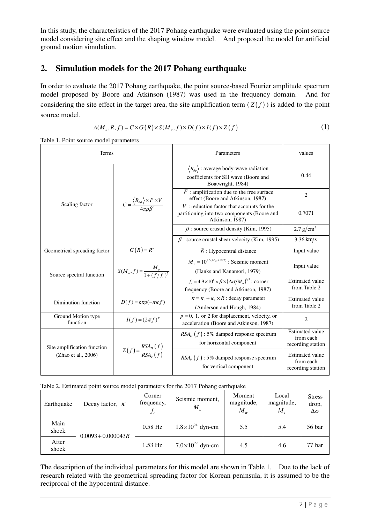In this study, the characteristics of the 2017 Pohang earthquake were evaluated using the point source model considering site effect and the shaping window model. And proposed the model for artificial ground motion simulation.

## **2. Simulation models for the 2017 Pohang earthquake**

In order to evaluate the 2017 Pohang earthquake, the point source-based Fourier amplitude spectrum model proposed by Boore and Atkinson (1987) was used in the frequency domain. And for considering the site effect in the target area, the site amplification term  $(Z(f))$  is added to the point source model.

$$
A(M_o, R, f) = C \times G(R) \times S(M_o, f) \times D(f) \times I(f) \times Z(f)
$$
\n<sup>(1)</sup>

Table 1. Point source model parameters

| <b>Terms</b>                                       |                                                                                | Parameters                                                                                                                 | values                                                   |
|----------------------------------------------------|--------------------------------------------------------------------------------|----------------------------------------------------------------------------------------------------------------------------|----------------------------------------------------------|
| Scaling factor                                     |                                                                                | $\langle R_{\theta\phi} \rangle$ : average body-wave radiation<br>coefficients for SH wave (Boore and<br>Boatwright, 1984) | 0.44                                                     |
|                                                    | $C = \frac{\langle R_{\theta\phi} \rangle \times F \times V}{4\pi \sigma B^3}$ | $F$ : amplification due to the free surface<br>effect (Boore and Atkinson, 1987)                                           | $\overline{2}$                                           |
|                                                    |                                                                                | $V$ : reduction factor that accounts for the<br>partitioning into two components (Boore and<br>Atkinson, 1987)             | 0.7071                                                   |
|                                                    |                                                                                | $\rho$ : source crustal density (Kim, 1995)                                                                                | 2.7 g/cm <sup>3</sup>                                    |
|                                                    |                                                                                | $\beta$ : source crustal shear velocity (Kim, 1995)                                                                        | $3.36 \text{ km/s}$                                      |
| Geometrical spreading factor                       | $G(R) = R^{-1}$                                                                | $R$ : Hypocentral distance                                                                                                 | Input value                                              |
| Source spectral function                           | $S(M_o, f) = \frac{M_o}{1 + (f/f)^2}$                                          | $M_e = 10^{1.5(M_W + 10.7)}$ : Seismic moment<br>(Hanks and Kanamori, 1979)                                                | Input value                                              |
|                                                    |                                                                                | $f_c = 4.9 \times 10^6 \times \beta \times (\Delta \sigma / M_c)^{1/3}$ : corner<br>frequency (Boore and Atkinson, 1987)   | <b>Estimated value</b><br>from Table 2                   |
| Diminution function                                | $D(f) = \exp(-\pi \kappa f)$                                                   | $\kappa = \kappa_1 + \kappa_2 \times R$ : decay parameter<br>(Anderson and Hough, 1984)                                    | <b>Estimated value</b><br>from Table 2                   |
| Ground Motion type<br>function                     | $I(f) = (2\pi f)^p$                                                            | $p = 0$ , 1, or 2 for displacement, velocity, or<br>acceleration (Boore and Atkinson, 1987)                                | $\overline{2}$                                           |
| Site amplification function<br>(Zhao et al., 2006) | $Z(f) = \frac{RSA_{H}(f)}{RSA_{H}(f)}$                                         | $RSA_H(f)$ : 5% damped response spectrum<br>for horizontal component                                                       | <b>Estimated value</b><br>from each<br>recording station |
|                                                    |                                                                                | $RSA_V(f)$ : 5% damped response spectrum<br>for vertical component                                                         | <b>Estimated value</b><br>from each<br>recording station |

|  |  | Table 2. Estimated point source model parameters for the 2017 Pohang earthquake |  |  |
|--|--|---------------------------------------------------------------------------------|--|--|
|  |  |                                                                                 |  |  |

| Earthquake     | Decay factor, $\kappa$ | Corner<br>frequency, | Seismic moment,<br>$M_{o}$  | Moment<br>magnitude,<br>$M_{\rm w}$ | Local<br>magnitude,<br>$M_{L}$ | <b>Stress</b><br>drop,<br>$\Delta \sigma$ |
|----------------|------------------------|----------------------|-----------------------------|-------------------------------------|--------------------------------|-------------------------------------------|
| Main<br>shock  | $0.0093 + 0.000043R$   | $0.58$ Hz            | $1.8 \times 10^{24}$ dyn-cm | 5.5                                 | 5.4                            | 56 bar                                    |
| After<br>shock |                        | $1.53$ Hz            | $7.0 \times 10^{22}$ dyn-cm | 4.5                                 | 4.6                            | 77 bar                                    |

The description of the individual parameters for this model are shown in Table 1. Due to the lack of research related with the geometrical spreading factor for Korean peninsula, it is assumed to be the reciprocal of the hypocentral distance.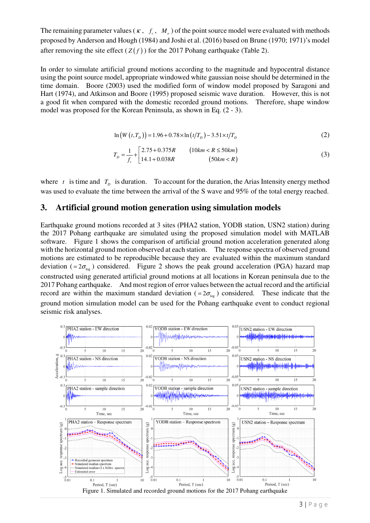The remaining parameter values ( $\kappa$ ,  $f_c$ ,  $M_o$ ) of the point source model were evaluated with methods proposed by Anderson and Hough (1984) and Joshi et al. (2016) based on Brune (1970; 1971)'s model after removing the site effect  $(Z(f))$  for the 2017 Pohang earthquake (Table 2).

In order to simulate artificial ground motions according to the magnitude and hypocentral distance using the point source model, appropriate windowed white gaussian noise should be determined in the time domain. Boore (2003) used the modified form of window model proposed by Saragoni and Hart (1974), and Atkinson and Boore (1995) proposed seismic wave duration. However, this is not a good fit when compared with the domestic recorded ground motions. Therefore, shape window model was proposed for the Korean Peninsula, as shown in Eq. (2 - 3).

$$
\ln(W(t, T_D)) = 1.96 + 0.78 \times \ln(t/T_D) - 3.51 \times t/T_D \tag{2}
$$

$$
T_D = \frac{1}{f_c} + \begin{bmatrix} 2.75 + 0.375R & (10km < R \le 50km) \\ 14.1 + 0.038R & (50km < R) \end{bmatrix} \tag{3}
$$

where  $t$  is time and  $T_D$  is duration. To account for the duration, the Arias Intensity energy method was used to evaluate the time between the arrival of the S wave and 95% of the total energy reached.

#### **3. Artificial ground motion generation using simulation models**

Earthquake ground motions recorded at 3 sites (PHA2 station, YODB station, USN2 station) during the 2017 Pohang earthquake are simulated using the proposed simulation model with MATLAB software. Figure 1 shows the comparison of artificial ground motion acceleration generated along with the horizontal ground motion observed at each station. The response spectra of observed ground motions are estimated to be reproducible because they are evaluated within the maximum standard deviation (=  $2\sigma_{\text{loc}}$ ) considered. Figure 2 shows the peak ground acceleration (PGA) hazard map constructed using generated artificial ground motions at all locations in Korean peninsula due to the 2017 Pohang earthquake. And most region of error values between the actual record and the artificial record are within the maximum standard deviation (=  $2\sigma_{\text{log}}$ ) considered. These indicate that the ground motion simulation model can be used for the Pohang earthquake event to conduct regional seismic risk analyses.

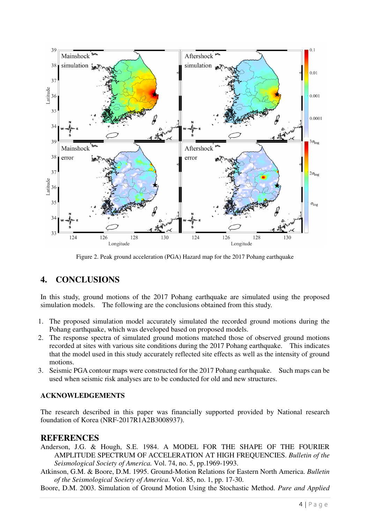

Figure 2. Peak ground acceleration (PGA) Hazard map for the 2017 Pohang earthquake

# **4. CONCLUSIONS**

In this study, ground motions of the 2017 Pohang earthquake are simulated using the proposed simulation models. The following are the conclusions obtained from this study.

- 1. The proposed simulation model accurately simulated the recorded ground motions during the Pohang earthquake, which was developed based on proposed models.
- 2. The response spectra of simulated ground motions matched those of observed ground motions recorded at sites with various site conditions during the 2017 Pohang earthquake. This indicates that the model used in this study accurately reflected site effects as well as the intensity of ground motions.
- 3. Seismic PGA contour maps were constructed for the 2017 Pohang earthquake. Such maps can be used when seismic risk analyses are to be conducted for old and new structures.

### **ACKNOWLEDGEMENTS**

The research described in this paper was financially supported provided by National research foundation of Korea (NRF-2017R1A2B3008937).

### **REFERENCES**

- Anderson, J.G. & Hough, S.E. 1984. A MODEL FOR THE SHAPE OF THE FOURIER AMPLITUDE SPECTRUM OF ACCELERATION AT HIGH FREQUENCIES. *Bulletin of the Seismological Society of America.* Vol. 74, no. 5, pp.1969-1993.
- Atkinson, G.M. & Boore, D.M. 1995. Ground-Motion Relations for Eastern North America. *Bulletin of the Seismological Society of America*. Vol. 85, no. 1, pp. 17-30.
- Boore, D.M. 2003. Simulation of Ground Motion Using the Stochastic Method. *Pure and Applied*